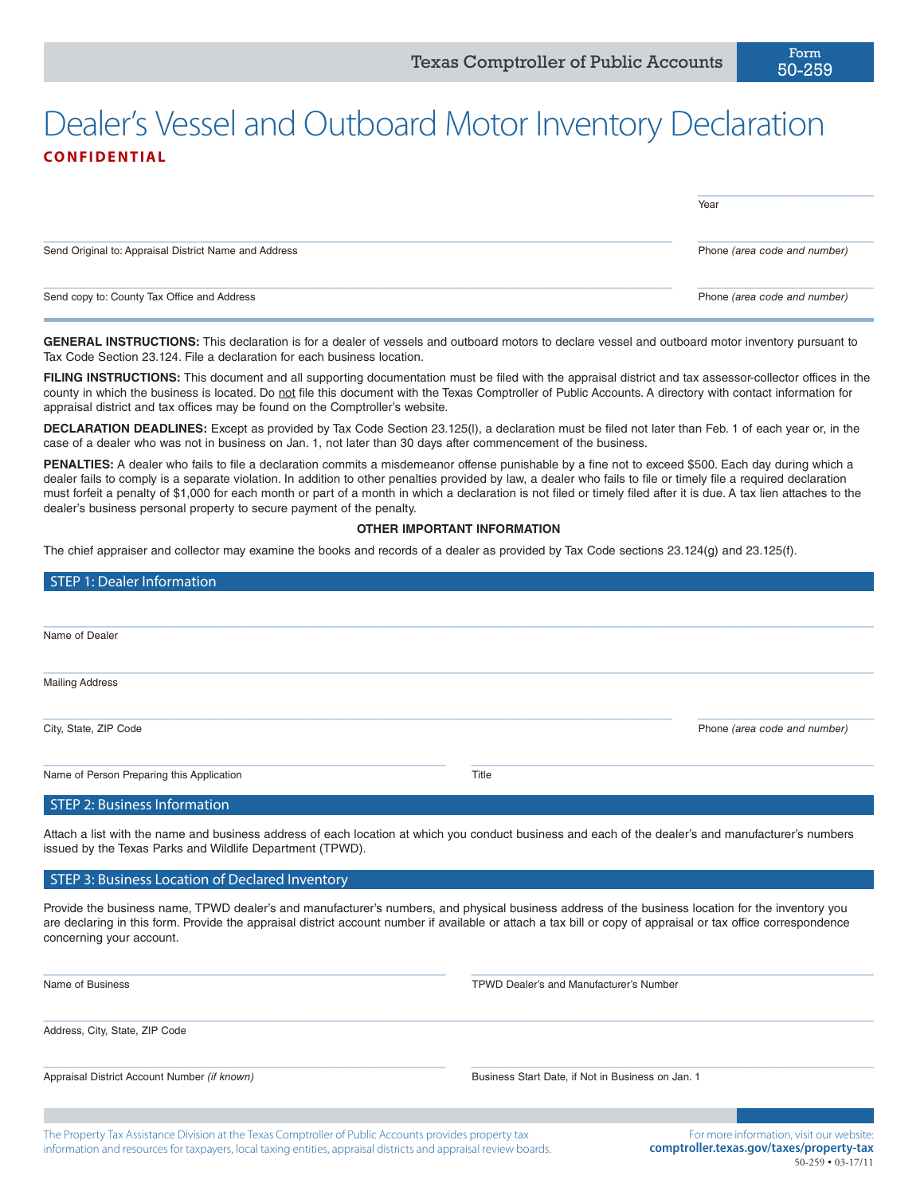## Dealer's Vessel and Outboard Motor Inventory Declaration **CONFIDENTIAL**

|                                                       | Year                         |
|-------------------------------------------------------|------------------------------|
| Send Original to: Appraisal District Name and Address | Phone (area code and number) |
| Send copy to: County Tax Office and Address           | Phone (area code and number) |

**GENERAL INSTRUCTIONS:** This declaration is for a dealer of vessels and outboard motors to declare vessel and outboard motor inventory pursuant to Tax Code Section 23.124. File a declaration for each business location.

FILING INSTRUCTIONS: This document and all supporting documentation must be filed with the appraisal district and tax assessor-collector offices in the county in which the business is located. Do not file this document with the Texas Comptroller of Public Accounts. A directory with contact information for appraisal district and tax offices may be found on the Comptroller's website.

**DECLARATION DEADLINES:** Except as provided by Tax Code Section 23.125(l), a declaration must be filed not later than Feb. 1 of each year or, in the case of a dealer who was not in business on Jan. 1, not later than 30 days after commencement of the business.

**PENALTIES:** A dealer who fails to file a declaration commits a misdemeanor offense punishable by a fine not to exceed \$500. Each day during which a dealer fails to comply is a separate violation. In addition to other penalties provided by law, a dealer who fails to file or timely file a required declaration must forfeit a penalty of \$1,000 for each month or part of a month in which a declaration is not filed or timely filed after it is due. A tax lien attaches to the dealer's business personal property to secure payment of the penalty.

#### **OTHER IMPORTANT INFORMATION**

The chief appraiser and collector may examine the books and records of a dealer as provided by Tax Code sections 23.124(g) and 23.125(f).

| STEP 1: Dealer Information                |       |                              |
|-------------------------------------------|-------|------------------------------|
|                                           |       |                              |
| Name of Dealer                            |       |                              |
|                                           |       |                              |
| <b>Mailing Address</b>                    |       |                              |
| City, State, ZIP Code                     |       | Phone (area code and number) |
| Name of Person Preparing this Application | Title |                              |
| STEP 2: Business Information              |       |                              |

Attach a list with the name and business address of each location at which you conduct business and each of the dealer's and manufacturer's numbers issued by the Texas Parks and Wildlife Department (TPWD).

#### STEP 3: Business Location of Declared Inventory

Provide the business name, TPWD dealer's and manufacturer's numbers, and physical business address of the business location for the inventory you are declaring in this form. Provide the appraisal district account number if available or attach a tax bill or copy of appraisal or tax office correspondence concerning your account.

 $\_$  ,  $\_$  ,  $\_$  ,  $\_$  ,  $\_$  ,  $\_$  ,  $\_$  ,  $\_$  ,  $\_$  ,  $\_$  ,  $\_$  ,  $\_$  ,  $\_$  ,  $\_$  ,  $\_$  ,  $\_$  ,  $\_$  ,  $\_$  ,  $\_$  ,  $\_$  ,  $\_$  ,  $\_$  ,  $\_$  ,  $\_$  ,  $\_$  ,  $\_$  ,  $\_$  ,  $\_$  ,  $\_$  ,  $\_$  ,  $\_$  ,  $\_$  ,  $\_$  ,  $\_$  ,  $\_$  ,  $\_$  ,  $\_$  ,

 $\_$  , and the set of the set of the set of the set of the set of the set of the set of the set of the set of the set of the set of the set of the set of the set of the set of the set of the set of the set of the set of th

Name of Business TPWD Dealer's and Manufacturer's Number

Address, City, State, ZIP Code

 $\_$  , and the set of the set of the set of the set of the set of the set of the set of the set of the set of the set of the set of the set of the set of the set of the set of the set of the set of the set of the set of th

Appraisal District Account Number *(if known)* Business Start Date, if Not in Business on Jan. 1

The Property Tax Assistance Division at the Texas Comptroller of Public Accounts provides property tax information and resources for taxpayers, local taxing entities, appraisal districts and appraisal review boards.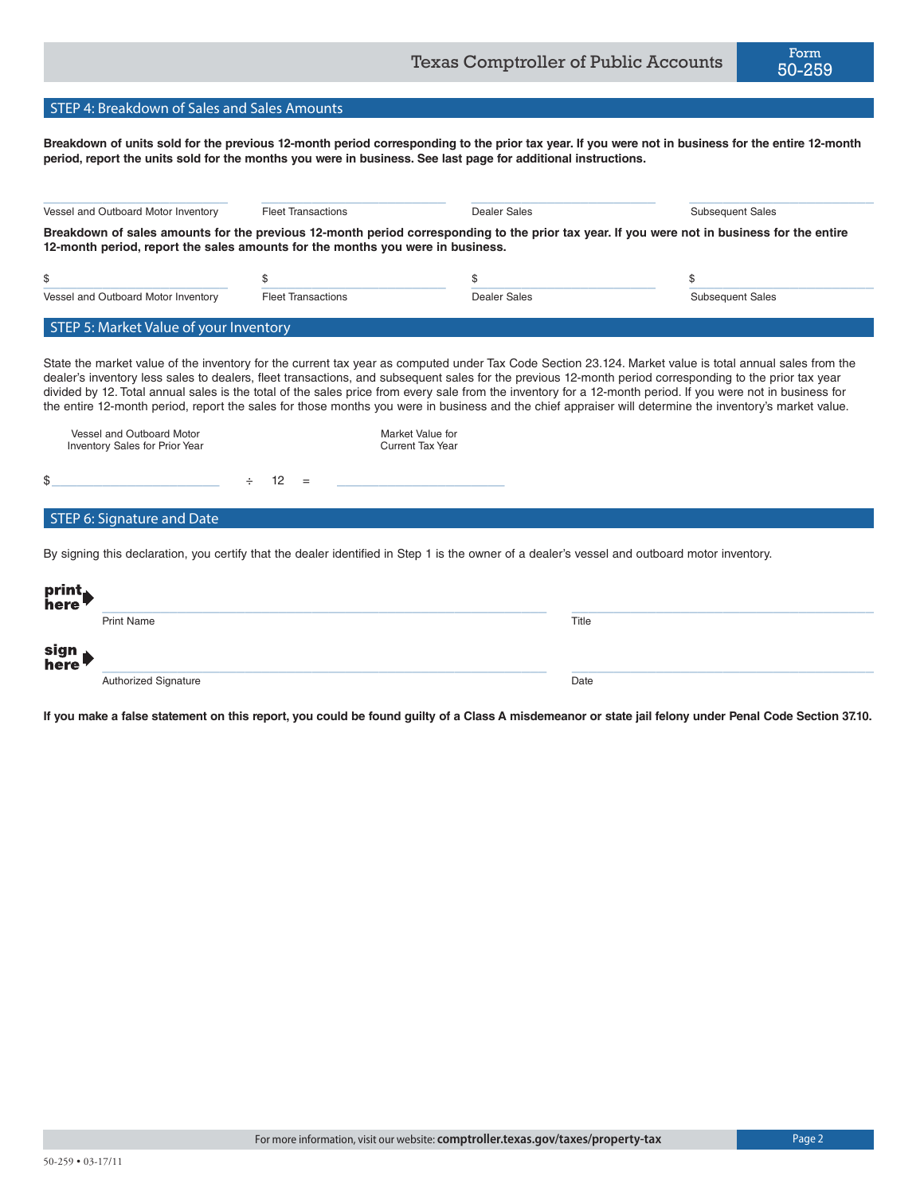### STEP 4: Breakdown of Sales and Sales Amounts

**Breakdown of units sold for the previous 12-month period corresponding to the prior tax year. If you were not in business for the entire 12-month period, report the units sold for the months you were in business. See last page for additional instructions.**

| Breakdown of sales amounts for the previous 12-month period corresponding to the prior tax year. If you were not in business for the entire |  |
|---------------------------------------------------------------------------------------------------------------------------------------------|--|
|                                                                                                                                             |  |
| \$<br><b>Subsequent Sales</b>                                                                                                               |  |
|                                                                                                                                             |  |

| Vessel and Outboard Motor<br>Inventory Sales for Prior Year |        |    |          | Market Value for<br><b>Current Tax Year</b> |
|-------------------------------------------------------------|--------|----|----------|---------------------------------------------|
| \$                                                          | $\div$ | 12 | $\equiv$ |                                             |
| STEP 6: Signature and Date                                  |        |    |          |                                             |

By signing this declaration, you certify that the dealer identified in Step 1 is the owner of a dealer's vessel and outboard motor inventory.

| print<br>here |                      |       |
|---------------|----------------------|-------|
|               | <b>Print Name</b>    | Title |
| sign<br>here  |                      |       |
|               | Authorized Signature | Date  |

**If you make a false statement on this report, you could be found guilty of a Class A misdemeanor or state jail felony under Penal Code Section 37.10.**